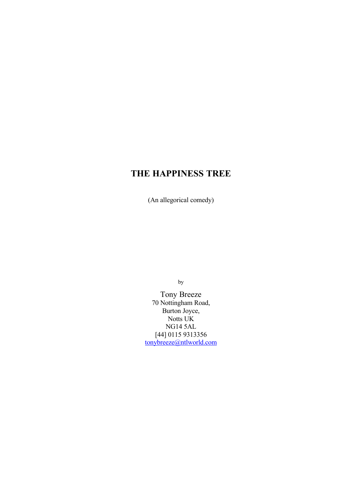(An allegorical comedy)

by

Tony Breeze 70 Nottingham Road, Burton Joyce, Notts UK NG14 5AL [44] 0115 9313356 [tonybreeze@ntlworld.com](mailto:tonybreeze@ntlworld.com)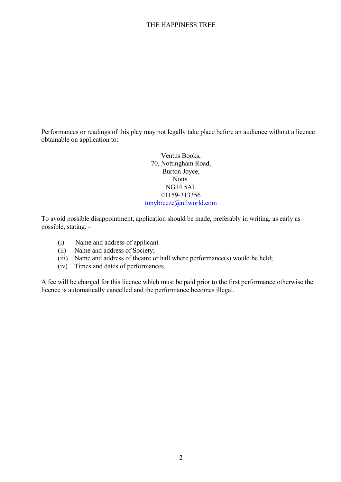Performances or readings of this play may not legally take place before an audience without a licence obtainable on application to:

> Ventus Books, 70, Nottingham Road, Burton Joyce, Notts. NG14 5AL 01159-313356 [tonybreeze@ntlworld.com](mailto:tonybreeze@ntlworld.com)

To avoid possible disappointment, application should be made, preferably in writing, as early as possible, stating: -

- (i) Name and address of applicant
- (ii) Name and address of Society;
- (iii) Name and address of theatre or hall where performance(s) would be held;
- (iv) Times and dates of performances.

A fee will be charged for this licence which must be paid prior to the first performance otherwise the licence is automatically cancelled and the performance becomes illegal.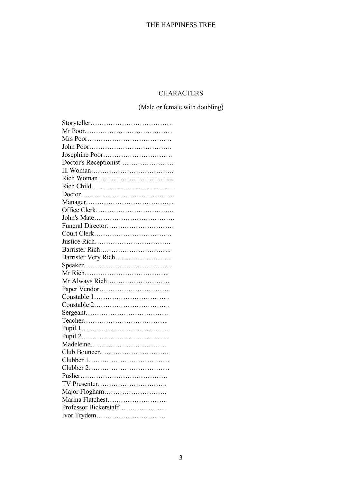# **CHARACTERS**

(Male or female with doubling)

| Doctor's Receptionist |
|-----------------------|
|                       |
|                       |
|                       |
|                       |
|                       |
|                       |
|                       |
| Funeral Director      |
|                       |
|                       |
|                       |
| Barrister Very Rich   |
|                       |
|                       |
|                       |
|                       |
|                       |
|                       |
|                       |
|                       |
|                       |
|                       |
|                       |
|                       |
|                       |
|                       |
|                       |
|                       |
|                       |
| Marina Flatchest      |
| Professor Bickerstaff |
| Ivor Trydem           |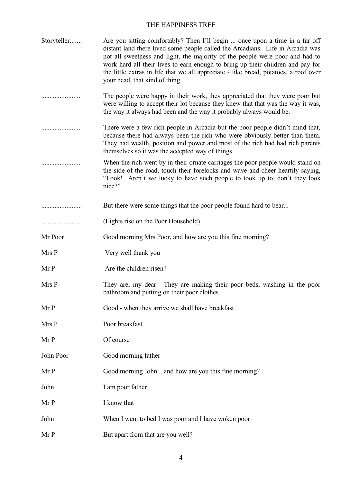| Storyteller | Are you sitting comfortably? Then I'll begin  once upon a time in a far off<br>distant land there lived some people called the Arcadians. Life in Arcadia was<br>not all sweetness and light, the majority of the people were poor and had to<br>work hard all their lives to earn enough to bring up their children and pay for<br>the little extras in life that we all appreciate - like bread, potatoes, a roof over<br>your head, that kind of thing. |
|-------------|------------------------------------------------------------------------------------------------------------------------------------------------------------------------------------------------------------------------------------------------------------------------------------------------------------------------------------------------------------------------------------------------------------------------------------------------------------|
|             | The people were happy in their work, they appreciated that they were poor but<br>were willing to accept their lot because they knew that that was the way it was,<br>the way it always had been and the way it probably always would be.                                                                                                                                                                                                                   |
|             | There were a few rich people in Arcadia but the poor people didn't mind that,<br>because there had always been the rich who were obviously better than them.<br>They had wealth, position and power and most of the rich had had rich parents<br>themselves so it was the accepted way of things.                                                                                                                                                          |
|             | When the rich went by in their ornate carriages the poor people would stand on<br>the side of the road, touch their forelocks and wave and cheer heartily saying,<br>"Look! Aren't we lucky to have such people to took up to, don't they look<br>nice?"                                                                                                                                                                                                   |
|             | But there were some things that the poor people found hard to bear                                                                                                                                                                                                                                                                                                                                                                                         |
|             | (Lights rise on the Poor Household)                                                                                                                                                                                                                                                                                                                                                                                                                        |
| Mr Poor     | Good morning Mrs Poor, and how are you this fine morning?                                                                                                                                                                                                                                                                                                                                                                                                  |
| Mrs P       | Very well thank you                                                                                                                                                                                                                                                                                                                                                                                                                                        |
| Mr P        | Are the children risen?                                                                                                                                                                                                                                                                                                                                                                                                                                    |
| Mrs P       | They are, my dear. They are making their poor beds, washing in the poor<br>bathroom and putting on their poor clothes                                                                                                                                                                                                                                                                                                                                      |
| Mr P        | Good - when they arrive we shall have breakfast                                                                                                                                                                                                                                                                                                                                                                                                            |
| Mrs P       | Poor breakfast                                                                                                                                                                                                                                                                                                                                                                                                                                             |
| Mr P        | Of course                                                                                                                                                                                                                                                                                                                                                                                                                                                  |
| John Poor   | Good morning father                                                                                                                                                                                                                                                                                                                                                                                                                                        |
| Mr P        | Good morning John and how are you this fine morning?                                                                                                                                                                                                                                                                                                                                                                                                       |
| John        | I am poor father                                                                                                                                                                                                                                                                                                                                                                                                                                           |
| Mr P        | I know that                                                                                                                                                                                                                                                                                                                                                                                                                                                |
| John        | When I went to bed I was poor and I have woken poor                                                                                                                                                                                                                                                                                                                                                                                                        |
| Mr P        | But apart from that are you well?                                                                                                                                                                                                                                                                                                                                                                                                                          |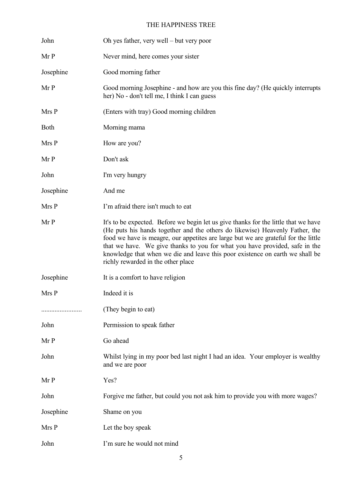| John        | Oh yes father, very well – but very poor                                                                                                                                                                                                                                                                                                                                                                                                                        |
|-------------|-----------------------------------------------------------------------------------------------------------------------------------------------------------------------------------------------------------------------------------------------------------------------------------------------------------------------------------------------------------------------------------------------------------------------------------------------------------------|
| Mr P        | Never mind, here comes your sister                                                                                                                                                                                                                                                                                                                                                                                                                              |
| Josephine   | Good morning father                                                                                                                                                                                                                                                                                                                                                                                                                                             |
| Mr P        | Good morning Josephine - and how are you this fine day? (He quickly interrupts<br>her) No - don't tell me, I think I can guess                                                                                                                                                                                                                                                                                                                                  |
| Mrs P       | (Enters with tray) Good morning children                                                                                                                                                                                                                                                                                                                                                                                                                        |
| <b>Both</b> | Morning mama                                                                                                                                                                                                                                                                                                                                                                                                                                                    |
| Mrs P       | How are you?                                                                                                                                                                                                                                                                                                                                                                                                                                                    |
| Mr P        | Don't ask                                                                                                                                                                                                                                                                                                                                                                                                                                                       |
| John        | I'm very hungry                                                                                                                                                                                                                                                                                                                                                                                                                                                 |
| Josephine   | And me                                                                                                                                                                                                                                                                                                                                                                                                                                                          |
| Mrs P       | I'm afraid there isn't much to eat                                                                                                                                                                                                                                                                                                                                                                                                                              |
| Mr P        | It's to be expected. Before we begin let us give thanks for the little that we have<br>(He puts his hands together and the others do likewise) Heavenly Father, the<br>food we have is meagre, our appetites are large but we are grateful for the little<br>that we have. We give thanks to you for what you have provided, safe in the<br>knowledge that when we die and leave this poor existence on earth we shall be<br>richly rewarded in the other place |
| Josephine   | It is a comfort to have religion                                                                                                                                                                                                                                                                                                                                                                                                                                |
| Mrs P       | Indeed it is                                                                                                                                                                                                                                                                                                                                                                                                                                                    |
| .           | (They begin to eat)                                                                                                                                                                                                                                                                                                                                                                                                                                             |
| John        | Permission to speak father                                                                                                                                                                                                                                                                                                                                                                                                                                      |
| Mr P        | Go ahead                                                                                                                                                                                                                                                                                                                                                                                                                                                        |
| John        | Whilst lying in my poor bed last night I had an idea. Your employer is wealthy<br>and we are poor                                                                                                                                                                                                                                                                                                                                                               |
| Mr P        | Yes?                                                                                                                                                                                                                                                                                                                                                                                                                                                            |
| John        | Forgive me father, but could you not ask him to provide you with more wages?                                                                                                                                                                                                                                                                                                                                                                                    |
| Josephine   | Shame on you                                                                                                                                                                                                                                                                                                                                                                                                                                                    |
| Mrs P       | Let the boy speak                                                                                                                                                                                                                                                                                                                                                                                                                                               |
| John        | I'm sure he would not mind                                                                                                                                                                                                                                                                                                                                                                                                                                      |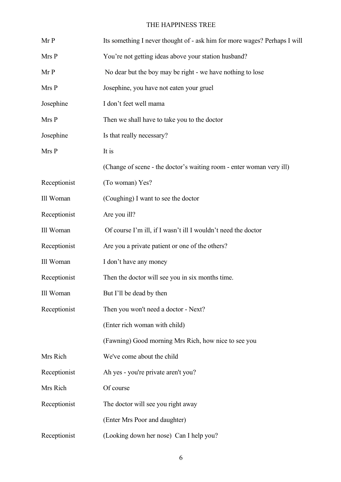| Mr P         | Its something I never thought of - ask him for more wages? Perhaps I will |
|--------------|---------------------------------------------------------------------------|
| Mrs P        | You're not getting ideas above your station husband?                      |
| Mr P         | No dear but the boy may be right - we have nothing to lose                |
| Mrs P        | Josephine, you have not eaten your gruel                                  |
| Josephine    | I don't feet well mama                                                    |
| Mrs P        | Then we shall have to take you to the doctor                              |
| Josephine    | Is that really necessary?                                                 |
| Mrs P        | It is                                                                     |
|              | (Change of scene - the doctor's waiting room - enter woman very ill)      |
| Receptionist | (To woman) Yes?                                                           |
| Ill Woman    | (Coughing) I want to see the doctor                                       |
| Receptionist | Are you ill?                                                              |
| Ill Woman    | Of course I'm ill, if I wasn't ill I wouldn't need the doctor             |
| Receptionist | Are you a private patient or one of the others?                           |
| Ill Woman    | I don't have any money                                                    |
| Receptionist | Then the doctor will see you in six months time.                          |
| Ill Woman    | But I'll be dead by then                                                  |
| Receptionist | Then you won't need a doctor - Next?                                      |
|              | (Enter rich woman with child)                                             |
|              | (Fawning) Good morning Mrs Rich, how nice to see you                      |
| Mrs Rich     | We've come about the child                                                |
| Receptionist | Ah yes - you're private aren't you?                                       |
| Mrs Rich     | Of course                                                                 |
| Receptionist | The doctor will see you right away                                        |
|              | (Enter Mrs Poor and daughter)                                             |
| Receptionist | (Looking down her nose) Can I help you?                                   |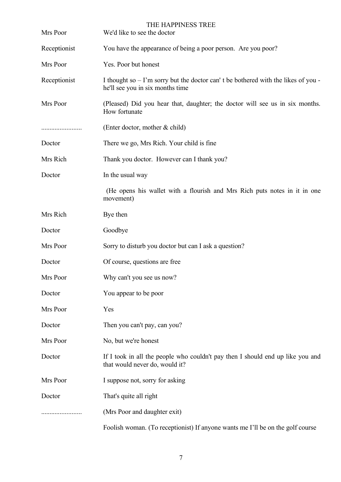| Mrs Poor     | THE HAPPINESS TREE<br>We'd like to see the doctor                                                                       |
|--------------|-------------------------------------------------------------------------------------------------------------------------|
| Receptionist | You have the appearance of being a poor person. Are you poor?                                                           |
| Mrs Poor     | Yes. Poor but honest                                                                                                    |
| Receptionist | I thought so $-1$ 'm sorry but the doctor can't be bothered with the likes of you -<br>he'll see you in six months time |
| Mrs Poor     | (Pleased) Did you hear that, daughter; the doctor will see us in six months.<br>How fortunate                           |
|              | (Enter doctor, mother $& child)$ )                                                                                      |
| Doctor       | There we go, Mrs Rich. Your child is fine                                                                               |
| Mrs Rich     | Thank you doctor. However can I thank you?                                                                              |
| Doctor       | In the usual way                                                                                                        |
|              | (He opens his wallet with a flourish and Mrs Rich puts notes in it in one<br>movement)                                  |
| Mrs Rich     | Bye then                                                                                                                |
| Doctor       | Goodbye                                                                                                                 |
| Mrs Poor     | Sorry to disturb you doctor but can I ask a question?                                                                   |
| Doctor       | Of course, questions are free                                                                                           |
| Mrs Poor     | Why can't you see us now?                                                                                               |
| Doctor       | You appear to be poor                                                                                                   |
| Mrs Poor     | Yes                                                                                                                     |
| Doctor       | Then you can't pay, can you?                                                                                            |
| Mrs Poor     | No, but we're honest                                                                                                    |
| Doctor       | If I took in all the people who couldn't pay then I should end up like you and<br>that would never do, would it?        |
| Mrs Poor     | I suppose not, sorry for asking                                                                                         |
| Doctor       | That's quite all right                                                                                                  |
|              | (Mrs Poor and daughter exit)                                                                                            |
|              | Foolish woman. (To receptionist) If anyone wants me I'll be on the golf course                                          |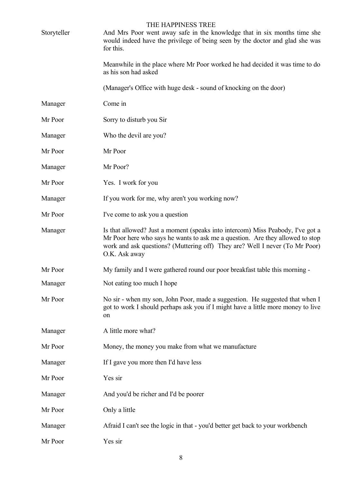| Storyteller | THE HAPPINESS TREE<br>And Mrs Poor went away safe in the knowledge that in six months time she<br>would indeed have the privilege of being seen by the doctor and glad she was<br>for this.                                                                     |
|-------------|-----------------------------------------------------------------------------------------------------------------------------------------------------------------------------------------------------------------------------------------------------------------|
|             | Meanwhile in the place where Mr Poor worked he had decided it was time to do<br>as his son had asked                                                                                                                                                            |
|             | (Manager's Office with huge desk - sound of knocking on the door)                                                                                                                                                                                               |
| Manager     | Come in                                                                                                                                                                                                                                                         |
| Mr Poor     | Sorry to disturb you Sir                                                                                                                                                                                                                                        |
| Manager     | Who the devil are you?                                                                                                                                                                                                                                          |
| Mr Poor     | Mr Poor                                                                                                                                                                                                                                                         |
| Manager     | Mr Poor?                                                                                                                                                                                                                                                        |
| Mr Poor     | Yes. I work for you                                                                                                                                                                                                                                             |
| Manager     | If you work for me, why aren't you working now?                                                                                                                                                                                                                 |
| Mr Poor     | I've come to ask you a question                                                                                                                                                                                                                                 |
| Manager     | Is that allowed? Just a moment (speaks into intercom) Miss Peabody, I've got a<br>Mr Poor here who says he wants to ask me a question. Are they allowed to stop<br>work and ask questions? (Muttering off) They are? Well I never (To Mr Poor)<br>O.K. Ask away |
| Mr Poor     | My family and I were gathered round our poor breakfast table this morning -                                                                                                                                                                                     |
| Manager     | Not eating too much I hope                                                                                                                                                                                                                                      |
| Mr Poor     | No sir - when my son, John Poor, made a suggestion. He suggested that when I<br>got to work I should perhaps ask you if I might have a little more money to live<br>on                                                                                          |
| Manager     | A little more what?                                                                                                                                                                                                                                             |
| Mr Poor     | Money, the money you make from what we manufacture                                                                                                                                                                                                              |
| Manager     | If I gave you more then I'd have less                                                                                                                                                                                                                           |
| Mr Poor     | Yes sir                                                                                                                                                                                                                                                         |
| Manager     | And you'd be richer and I'd be poorer                                                                                                                                                                                                                           |
| Mr Poor     | Only a little                                                                                                                                                                                                                                                   |
| Manager     | Afraid I can't see the logic in that - you'd better get back to your workbench                                                                                                                                                                                  |
| Mr Poor     | Yes sir                                                                                                                                                                                                                                                         |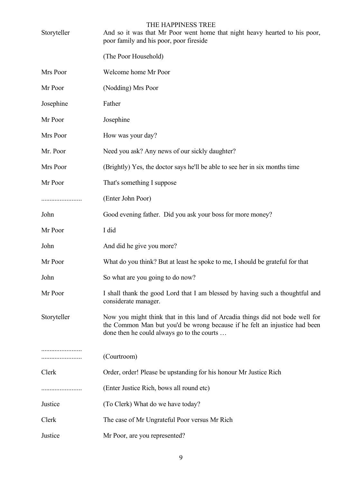| Storyteller | THE HAPPINESS TREE<br>And so it was that Mr Poor went home that night heavy hearted to his poor,<br>poor family and his poor, poor fireside                                                               |
|-------------|-----------------------------------------------------------------------------------------------------------------------------------------------------------------------------------------------------------|
|             | (The Poor Household)                                                                                                                                                                                      |
| Mrs Poor    | Welcome home Mr Poor                                                                                                                                                                                      |
| Mr Poor     | (Nodding) Mrs Poor                                                                                                                                                                                        |
| Josephine   | Father                                                                                                                                                                                                    |
| Mr Poor     | Josephine                                                                                                                                                                                                 |
| Mrs Poor    | How was your day?                                                                                                                                                                                         |
| Mr. Poor    | Need you ask? Any news of our sickly daughter?                                                                                                                                                            |
| Mrs Poor    | (Brightly) Yes, the doctor says he'll be able to see her in six months time                                                                                                                               |
| Mr Poor     | That's something I suppose                                                                                                                                                                                |
|             | (Enter John Poor)                                                                                                                                                                                         |
| John        | Good evening father. Did you ask your boss for more money?                                                                                                                                                |
| Mr Poor     | I did                                                                                                                                                                                                     |
| John        | And did he give you more?                                                                                                                                                                                 |
| Mr Poor     | What do you think? But at least he spoke to me, I should be grateful for that                                                                                                                             |
| John        | So what are you going to do now?                                                                                                                                                                          |
| Mr Poor     | I shall thank the good Lord that I am blessed by having such a thoughtful and<br>considerate manager.                                                                                                     |
| Storyteller | Now you might think that in this land of Arcadia things did not bode well for<br>the Common Man but you'd be wrong because if he felt an injustice had been<br>done then he could always go to the courts |
| .           | (Courtroom)                                                                                                                                                                                               |
| Clerk       | Order, order! Please be upstanding for his honour Mr Justice Rich                                                                                                                                         |
|             | (Enter Justice Rich, bows all round etc)                                                                                                                                                                  |
| Justice     | (To Clerk) What do we have today?                                                                                                                                                                         |
| Clerk       | The case of Mr Ungrateful Poor versus Mr Rich                                                                                                                                                             |
| Justice     | Mr Poor, are you represented?                                                                                                                                                                             |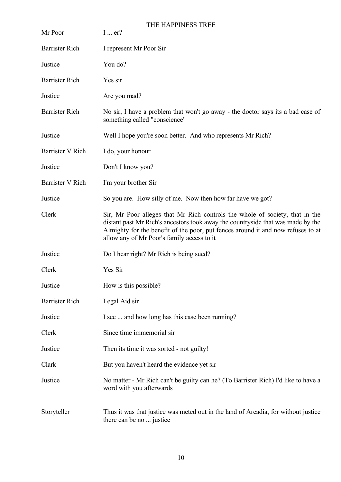| Mr Poor                 | THE HAPPINESS TREE<br>$I$ er?                                                                                                                                                                                                                                                                     |
|-------------------------|---------------------------------------------------------------------------------------------------------------------------------------------------------------------------------------------------------------------------------------------------------------------------------------------------|
| <b>Barrister Rich</b>   | I represent Mr Poor Sir                                                                                                                                                                                                                                                                           |
| Justice                 | You do?                                                                                                                                                                                                                                                                                           |
| <b>Barrister Rich</b>   | Yes sir                                                                                                                                                                                                                                                                                           |
| Justice                 | Are you mad?                                                                                                                                                                                                                                                                                      |
| <b>Barrister Rich</b>   | No sir, I have a problem that won't go away - the doctor says its a bad case of<br>something called "conscience"                                                                                                                                                                                  |
| Justice                 | Well I hope you're soon better. And who represents Mr Rich?                                                                                                                                                                                                                                       |
| Barrister V Rich        | I do, your honour                                                                                                                                                                                                                                                                                 |
| Justice                 | Don't I know you?                                                                                                                                                                                                                                                                                 |
| <b>Barrister V Rich</b> | I'm your brother Sir                                                                                                                                                                                                                                                                              |
| Justice                 | So you are. How silly of me. Now then how far have we got?                                                                                                                                                                                                                                        |
| Clerk                   | Sir, Mr Poor alleges that Mr Rich controls the whole of society, that in the<br>distant past Mr Rich's ancestors took away the countryside that was made by the<br>Almighty for the benefit of the poor, put fences around it and now refuses to at<br>allow any of Mr Poor's family access to it |
| Justice                 | Do I hear right? Mr Rich is being sued?                                                                                                                                                                                                                                                           |
| Clerk                   | Yes Sir                                                                                                                                                                                                                                                                                           |
| Justice                 | How is this possible?                                                                                                                                                                                                                                                                             |
| <b>Barrister Rich</b>   | Legal Aid sir                                                                                                                                                                                                                                                                                     |
| Justice                 | I see  and how long has this case been running?                                                                                                                                                                                                                                                   |
| Clerk                   | Since time immemorial sir                                                                                                                                                                                                                                                                         |
| Justice                 | Then its time it was sorted - not guilty!                                                                                                                                                                                                                                                         |
| Clark                   | But you haven't heard the evidence yet sir                                                                                                                                                                                                                                                        |
| Justice                 | No matter - Mr Rich can't be guilty can he? (To Barrister Rich) I'd like to have a<br>word with you afterwards                                                                                                                                                                                    |
| Storyteller             | Thus it was that justice was meted out in the land of Arcadia, for without justice<br>there can be no  justice                                                                                                                                                                                    |